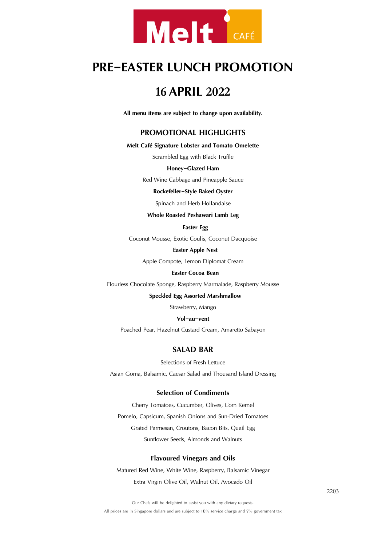

# **PRE-EASTERLUNCH PROMOTION**

# **<sup>16</sup> APRIL <sup>2022</sup>**

**All menu items are subject to change upon availability.**

# **PROMOTIONAL HIGHLIGHTS**

**Melt Café Signature Lobster and Tomato Omelette**

Scrambled Egg with Black Truffle

#### **Honey-Glazed Ham**

Red Wine Cabbage and Pineapple Sauce

### **Rockefeller-Style Baked Oyster**

Spinach and Herb Hollandaise

### **Whole Roasted Peshawari Lamb Leg**

# **Easter Egg**

Coconut Mousse, Exotic Coulis, Coconut Dacquoise

### **Easter Apple Nest**

Apple Compote, Lemon Diplomat Cream

### **Easter Cocoa Bean**

Flourless Chocolate Sponge, Raspberry Marmalade, Raspberry Mousse

#### **Speckled Egg Assorted Marshmallow**

Strawberry, Mango

### **Vol-au-vent**

Poached Pear, Hazelnut Custard Cream, Amaretto Sabayon

# **SALAD BAR**

Selections of Fresh Lettuce

Asian Goma, Balsamic, Caesar Salad and Thousand Island Dressing

#### **Selection of Condiments**

Cherry Tomatoes, Cucumber, Olives, Corn Kernel Pomelo, Capsicum, Spanish Onions and Sun-Dried Tomatoes Grated Parmesan, Croutons, Bacon Bits, Quail Egg Sunflower Seeds, Almonds and Walnuts

### **Flavoured Vinegars and Oils**

Matured Red Wine, White Wine, Raspberry, Balsamic Vinegar Extra Virgin Olive Oil, Walnut Oil, Avocado Oil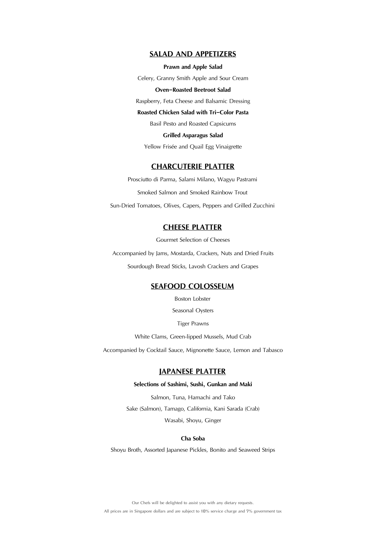# **SALAD AND APPETIZERS**

#### **Prawn and Apple Salad**

Celery, Granny Smith Apple and Sour Cream

### **Oven-Roasted Beetroot Salad**

Raspberry, Feta Cheese and Balsamic Dressing

## **Roasted Chicken Salad with Tri-Color Pasta**

Basil Pesto and Roasted Capsicums

**Grilled Asparagus Salad**

Yellow Frisée and Quail Egg Vinaigrette

# **CHARCUTERIE PLATTER**

Prosciutto di Parma, Salami Milano, Wagyu Pastrami Smoked Salmon and Smoked Rainbow Trout Sun-Dried Tomatoes, Olives, Capers, Peppers and Grilled Zucchini

# **CHEESE PLATTER**

Gourmet Selection of Cheeses

Accompanied by Jams, Mostarda, Crackers, Nuts and Dried Fruits Sourdough Bread Sticks, Lavosh Crackers and Grapes

# **SEAFOOD COLOSSEUM**

Boston Lobster

Seasonal Oysters

Tiger Prawns

White Clams, Green-lipped Mussels, Mud Crab

Accompanied by Cocktail Sauce, Mignonette Sauce, Lemon and Tabasco

# **JAPANESE PLATTER**

#### **Selections of Sashimi, Sushi, Gunkan and Maki**

Salmon, Tuna, Hamachi and Tako Sake (Salmon), Tamago, California, Kani Sarada (Crab) Wasabi, Shoyu, Ginger

#### **Cha Soba**

Shoyu Broth, Assorted Japanese Pickles, Bonito and Seaweed Strips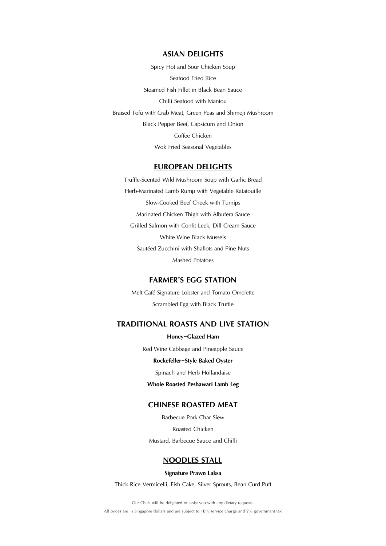# **ASIAN DELIGHTS**

Spicy Hot and Sour Chicken Soup Seafood Fried Rice Steamed Fish Fillet in Black Bean Sauce Chilli Seafood with Mantou Braised Tofu with Crab Meat, Green Peas and Shimeji Mushroom Black Pepper Beef, Capsicum and Onion Coffee Chicken Wok Fried Seasonal Vegetables

# **EUROPEAN DELIGHTS**

Truffle-Scented Wild Mushroom Soup with Garlic Bread Herb-Marinated Lamb Rump with Vegetable Ratatouille Slow-Cooked Beef Cheek with Turnips Marinated Chicken Thigh with Albufera Sauce Grilled Salmon with Confit Leek, Dill Cream Sauce White Wine Black Mussels Sautéed Zucchini with Shallots and Pine Nuts Mashed Potatoes

# **FARMER'S EGG STATION**

Melt Café Signature Lobster and Tomato Omelette Scrambled Egg with Black Truffle

# **TRADITIONAL ROASTS AND LIVE STATION**

**Honey-Glazed Ham** Red Wine Cabbage and Pineapple Sauce **Rockefeller-Style Baked Oyster**

Spinach and Herb Hollandaise

**Whole Roasted Peshawari Lamb Leg** 

# **CHINESE ROASTED MEAT**

Barbecue Pork Char Siew Roasted Chicken Mustard, Barbecue Sauce and Chilli

# **NOODLES STALL**

**Signature Prawn Laksa**

Thick Rice Vermicelli, Fish Cake, Silver Sprouts, Bean Curd Puff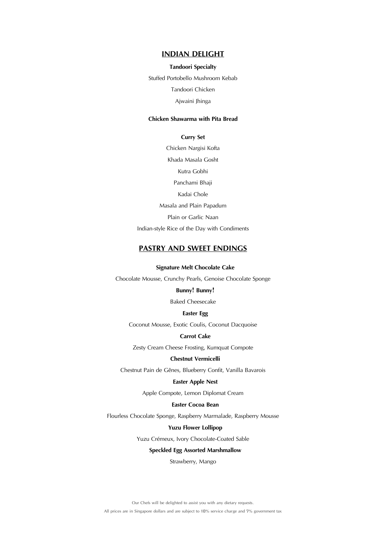# **INDIAN DELIGHT**

#### **Tandoori Specialty**

Stuffed Portobello Mushroom Kebab

Tandoori Chicken

Ajwaini Jhinga

# **Chicken Shawarma with Pita Bread**

**Curry Set**

Chicken Nargisi Kofta Khada Masala Gosht Kutra Gobhi Panchami Bhaji Kadai Chole Masala and Plain Papadum Plain or Garlic Naan Indian-style Rice of the Day with Condiments

# **PASTRY AND SWEET ENDINGS**

**Signature Melt Chocolate Cake**

Chocolate Mousse, Crunchy Pearls, Genoise Chocolate Sponge

# **Bunny! Bunny!**

Baked Cheesecake

### **Easter Egg**

Coconut Mousse, Exotic Coulis, Coconut Dacquoise

### **Carrot Cake**

Zesty Cream Cheese Frosting, Kumquat Compote

### **Chestnut Vermicelli**

Chestnut Pain de Gênes, Blueberry Confit, Vanilla Bavarois

### **Easter Apple Nest**

Apple Compote, Lemon Diplomat Cream

# **Easter Cocoa Bean**

Flourless Chocolate Sponge, Raspberry Marmalade, Raspberry Mousse

#### **Yuzu Flower Lollipop**

Yuzu Crémeux, Ivory Chocolate-Coated Sable

### **Speckled Egg Assorted Marshmallow**

Strawberry, Mango

Our Chefs will be delighted to assist you with any dietary requests.